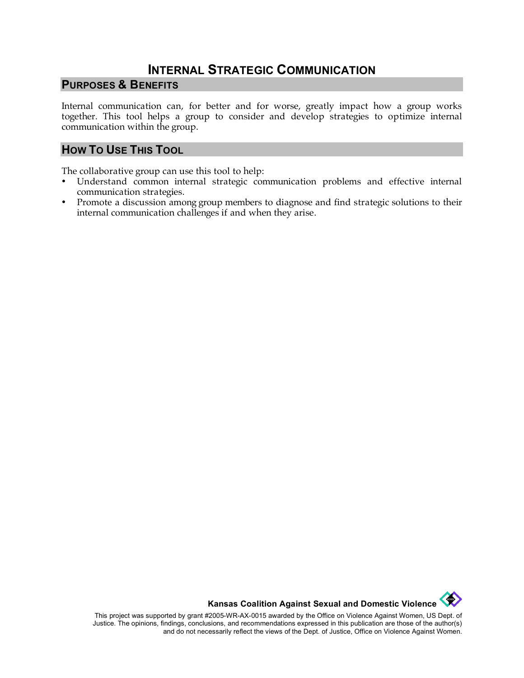## **INTERNAL STRATEGIC COMMUNICATION**

## **PURPOSES & BENEFITS**

Internal communication can, for better and for worse, greatly impact how a group works together. This tool helps a group to consider and develop strategies to optimize internal communication within the group.

## **HOW TO USE THIS TOOL**

The collaborative group can use this tool to help:

- Understand common internal strategic communication problems and effective internal communication strategies.
- Promote a discussion among group members to diagnose and find strategic solutions to their internal communication challenges if and when they arise.

**Kansas Coalition Against Sexual and Domestic Violence**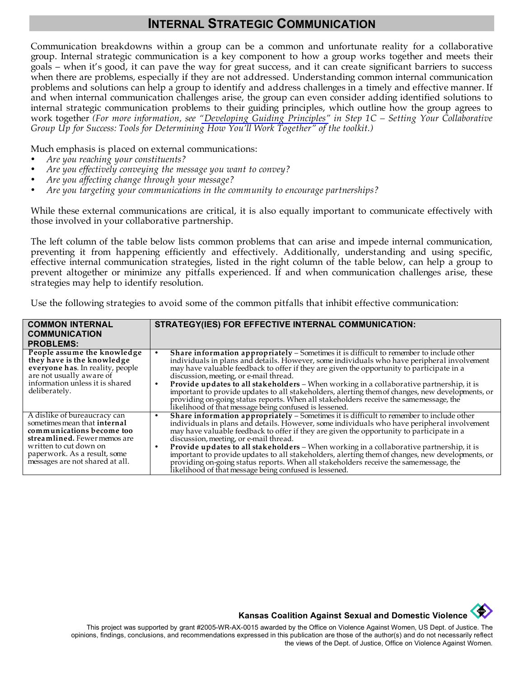## **INTERNAL STRATEGIC COMMUNICATION**

Communication breakdowns within a group can be a common and unfortunate reality for a collaborative group. Internal strategic communication is a key component to how a group works together and meets their goals – when it's good, it can pave the way for great success, and it can create significant barriers to success when there are problems, especially if they are not addressed. Understanding common internal communication problems and solutions can help a group to identify and address challenges in a timely and effective manner. If and when internal communication challenges arise, the group can even consider adding identified solutions to internal strategic communication problems to their guiding principles, which outline how the group agrees to work together *(For more information, see ["Developing Guiding Principles"](http://www.kcsdv.org/toolkit/commorgtoolkit.html#DevelopingGuidingPrinciples) in Step 1C – Setting Your Collaborative Group Up for Success: Tools for Determining How You'll Work Together" of the toolkit.)*

Much emphasis is placed on external communications:

- *Are you reaching your constituents?*
- *Are you effectively conveying the message you want to convey?*
- *Are you affecting change through your message?*
- *Are you targeting your communications in the community to encourage partnerships?*

While these external communications are critical, it is also equally important to communicate effectively with those involved in your collaborative partnership.

The left column of the table below lists common problems that can arise and impede internal communication, preventing it from happening efficiently and effectively. Additionally, understanding and using specific, effective internal communication strategies, listed in the right column of the table below, can help a group to prevent altogether or minimize any pitfalls experienced. If and when communication challenges arise, these strategies may help to identify resolution.

Use the following strategies to avoid some of the common pitfalls that inhibit effective communication:

| <b>COMMON INTERNAL</b><br><b>COMMUNICATION</b>                                                                                                                                                                         | <b>STRATEGY(IES) FOR EFFECTIVE INTERNAL COMMUNICATION:</b>                                                                                                                                                                                                                                                                                                                                                                                                                                                                                                                                                                                                                                     |  |  |
|------------------------------------------------------------------------------------------------------------------------------------------------------------------------------------------------------------------------|------------------------------------------------------------------------------------------------------------------------------------------------------------------------------------------------------------------------------------------------------------------------------------------------------------------------------------------------------------------------------------------------------------------------------------------------------------------------------------------------------------------------------------------------------------------------------------------------------------------------------------------------------------------------------------------------|--|--|
| <b>PROBLEMS:</b>                                                                                                                                                                                                       |                                                                                                                                                                                                                                                                                                                                                                                                                                                                                                                                                                                                                                                                                                |  |  |
| People assume the knowledge<br>they have is the knowledge<br>everyone has. In reality, people<br>are not usually aware of<br>information unless it is shared<br>deliberately.                                          | <b>Share information appropriately - Sometimes it is difficult to remember to include other individuals in plans and details. However, some individuals who have peripheral involvement</b><br>may have valuable feedback to offer if they are given the opportunity to participate in a<br>discussion, meeting, or e-mail thread.<br>Provide updates to all stakeholders - When working in a collaborative partnership, it is<br>important to provide updates to all stakeholders, alerting them of changes, new developments, or<br>providing on-going status reports. When all stakeholders receive the samemessage, the<br>likelihood of that message being confused is lessened.          |  |  |
| A dislike of bureaucracy can<br>sometimes mean that internal<br>communications become too<br>streamlined. Fewer memos are<br>written to cut down on<br>paperwork. As a result, some<br>messages are not shared at all. | Share information appropriately - Sometimes it is difficult to remember to include other<br>$\bullet$<br>individuals in plans and details. However, some individuals who have peripheral involvement<br>may have valuable feedback to offer if they are given the opportunity to participate in a<br>discussion, meeting, or e-mail thread.<br>Provide updates to all stakeholders - When working in a collaborative partnership, it is<br>important to provide updates to all stakeholders, alerting them of changes, new developments, or<br>providing on-going status reports. When all stakeholders receive the samemessage, the<br>likelihood of that message being confused is lessened. |  |  |



This project was supported by grant #2005-WR-AX-0015 awarded by the Office on Violence Against Women, US Dept. of Justice. The opinions, findings, conclusions, and recommendations expressed in this publication are those of the author(s) and do not necessarily reflect the views of the Dept. of Justice, Office on Violence Against Women.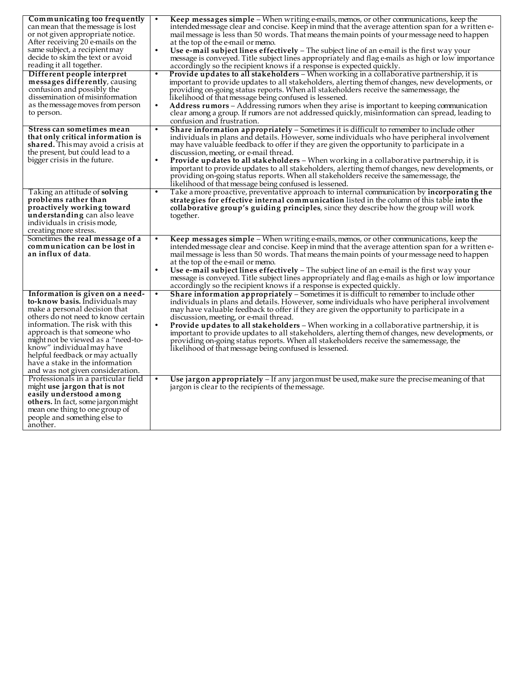| Communicating too frequently<br>can mean that the message is lost                                                                                                                                                                                                                                                                                                                         |           | Keep messages simple - When writing e-mails, memos, or other communications, keep the<br>intended message clear and concise. Keep in mind that the average attention span for a written e-                                                                                                                                                                                                                                                                                                                                                                                                                                                                                                |
|-------------------------------------------------------------------------------------------------------------------------------------------------------------------------------------------------------------------------------------------------------------------------------------------------------------------------------------------------------------------------------------------|-----------|-------------------------------------------------------------------------------------------------------------------------------------------------------------------------------------------------------------------------------------------------------------------------------------------------------------------------------------------------------------------------------------------------------------------------------------------------------------------------------------------------------------------------------------------------------------------------------------------------------------------------------------------------------------------------------------------|
| or not given appropriate notice.<br>After receiving 20 e-mails on the                                                                                                                                                                                                                                                                                                                     |           | mail message is less than 50 words. That means the main points of your message need to happen<br>at the top of the e-mail or memo.                                                                                                                                                                                                                                                                                                                                                                                                                                                                                                                                                        |
| same subject, a recipient may<br>decide to skim the text or avoid<br>reading it all together.                                                                                                                                                                                                                                                                                             |           | Use $e$ -mail subject lines effectively $-$ The subject line of an e-mail is the first way your<br>message is conveyed. Title subject lines appropriately and flag e-mails as high or low importance<br>accordingly so the recipient knows if a response is expected quickly.                                                                                                                                                                                                                                                                                                                                                                                                             |
| Different people interpret                                                                                                                                                                                                                                                                                                                                                                |           | Provide updates to all stakeholders - When working in a collaborative partnership, it is                                                                                                                                                                                                                                                                                                                                                                                                                                                                                                                                                                                                  |
| messages differently, causing<br>confusion and possibly the<br>dissemination of misinformation<br>as the message moves from person<br>to person.                                                                                                                                                                                                                                          | $\bullet$ | important to provide updates to all stakeholders, alerting them of changes, new developments, or<br>providing on-going status reports. When all stakeholders receive the same message, the<br>likelihood of that message being confused is lessened.<br>Address rumors - Addressing rumors when they arise is important to keeping communication<br>clear among a group. If rumors are not addressed quickly, misinformation can spread, leading to<br>confusion and frustration.                                                                                                                                                                                                         |
| Stress can sometimes mean<br>that only critical information is<br>shared. This may avoid a crisis at<br>the present, but could lead to a<br>bigger crisis in the future.                                                                                                                                                                                                                  | $\bullet$ | Share information appropriately - Sometimes it is difficult to remember to include other<br>individuals in plans and defails. However, some individuals who have peripheral involvement<br>may have valuable feedback to offer if they are given the opportunity to participate in a<br>discussion, meeting, or e-mail thread.<br><b>Provide updates to all stakeholders</b> – When working in a collaborative partnership, it is<br>important to provide updates to all stakeholders, alerting them of changes, new developments, or<br>providing on-going status reports. When all stakeholders receive the same message, the<br>likelihood of that message being confused is lessened. |
| Taking an attitude of solving<br>problems rather than<br>proactively working toward<br>understanding can also leave<br>individuals in crisis mode,<br>creating more stress.                                                                                                                                                                                                               |           | Take a more proactive, preventative approach to internal communication by <b>incorporating the</b><br>strategies for effective internal communication listed in the column of this table into the<br>collaborative group's guiding principles, since they describe how the group will work<br>together.                                                                                                                                                                                                                                                                                                                                                                                   |
| Sometimes the real message of a<br>communication can be lost in<br>an influx of data.                                                                                                                                                                                                                                                                                                     |           | Keep messages simple - When writing e-mails, memos, or other communications, keep the<br>intended message clear and concise. Keep in mind that the average attention span for a written e-<br>mail message is less than 50 words. That means the main points of your message need to happen<br>at the top of the e-mail or memo.                                                                                                                                                                                                                                                                                                                                                          |
|                                                                                                                                                                                                                                                                                                                                                                                           |           | Use $e$ -mail subject lines effectively $-$ The subject line of an e-mail is the first way your<br>message is conveyed. Title subject lines appropriately and flag e-mails as high or low importance<br>accordingly so the recipient knows if a response is expected quickly.                                                                                                                                                                                                                                                                                                                                                                                                             |
| Information is given on a need-<br>to-know basis. Individuals may<br>make a personal decision that<br>others do not need to know certain<br>information. The risk with this<br>approach is that someone who<br>might not be viewed as a "need-to-<br>know" individual may have<br>helpful feedback or may actually<br>have a stake in the information<br>and was not given consideration. |           | Share information appropriately – Sometimes it is difficult to remember to include other<br>individuals in plans and defails. However, some individuals who have peripheral involvement<br>may have valuable feedback to offer if they are given the opportunity to participate in a<br>discussion, meeting, or e-mail thread.<br><b>Provide updates to all stakeholders</b> – When working in a collaborative partnership, it is<br>important to provide updates to all stakeholders, alerting them of changes, new developments, or<br>providing on-going status reports. When all stakeholders receive the samemessage, the<br>likelihood of that message being confused is lessened.  |
| Professionals in a particular field<br>might use jargon that is not<br>easily understood among<br>others. In fact, some jargon might<br>mean one thing to one group of<br>people and something else to<br>another.                                                                                                                                                                        | $\bullet$ | Use jargon appropriately $-$ If any jargon must be used, make sure the precise meaning of that<br>jargon is clear to the recipients of the message.                                                                                                                                                                                                                                                                                                                                                                                                                                                                                                                                       |